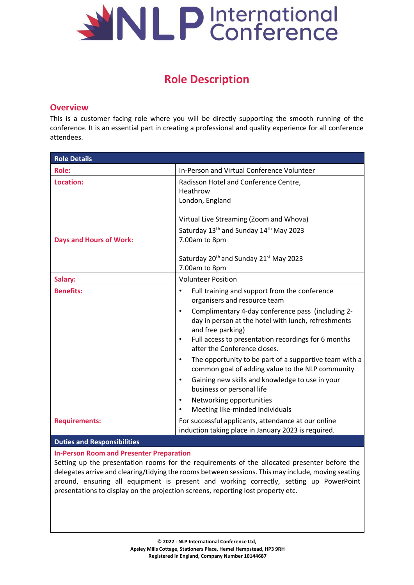

# **Role Description**

# **Overview**

This is a customer facing role where you will be directly supporting the smooth running of the conference. It is an essential part in creating a professional and quality experience for all conference attendees.

| <b>Role Details</b>            |                                                                                                                                                                                                        |
|--------------------------------|--------------------------------------------------------------------------------------------------------------------------------------------------------------------------------------------------------|
| <b>Role:</b>                   | In-Person and Virtual Conference Volunteer                                                                                                                                                             |
| Location:                      | Radisson Hotel and Conference Centre,<br>Heathrow<br>London, England                                                                                                                                   |
|                                | Virtual Live Streaming (Zoom and Whova)                                                                                                                                                                |
| <b>Days and Hours of Work:</b> | Saturday 13 <sup>th</sup> and Sunday 14 <sup>th</sup> May 2023<br>7.00am to 8pm<br>Saturday 20 <sup>th</sup> and Sunday 21 <sup>st</sup> May 2023<br>7.00am to 8pm                                     |
| Salary:                        | <b>Volunteer Position</b>                                                                                                                                                                              |
| <b>Benefits:</b>               | Full training and support from the conference<br>$\bullet$<br>organisers and resource team<br>Complimentary 4-day conference pass (including 2-<br>day in person at the hotel with lunch, refreshments |
|                                | and free parking)<br>Full access to presentation recordings for 6 months<br>$\bullet$<br>after the Conference closes.                                                                                  |
|                                | The opportunity to be part of a supportive team with a<br>$\bullet$<br>common goal of adding value to the NLP community                                                                                |
|                                | Gaining new skills and knowledge to use in your<br>business or personal life                                                                                                                           |
|                                | Networking opportunities<br>Meeting like-minded individuals                                                                                                                                            |
| <b>Requirements:</b>           | For successful applicants, attendance at our online<br>induction taking place in January 2023 is required.                                                                                             |

## **Duties and Responsibilities**

## **In-Person Room and Presenter Preparation**

Setting up the presentation rooms for the requirements of the allocated presenter before the delegates arrive and clearing/tidying the rooms between sessions. This may include, moving seating around, ensuring all equipment is present and working correctly, setting up PowerPoint presentations to display on the projection screens, reporting lost property etc.